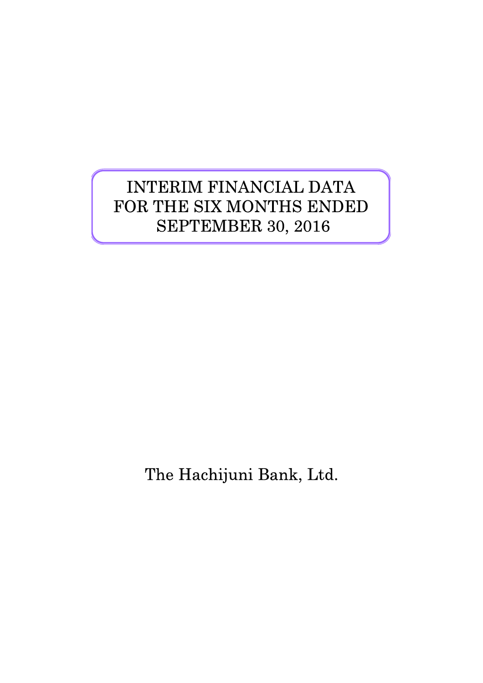# INTERIM FINANCIAL DATA FOR THE SIX MONTHS ENDED SEPTEMBER 30, 2016

The Hachijuni Bank, Ltd.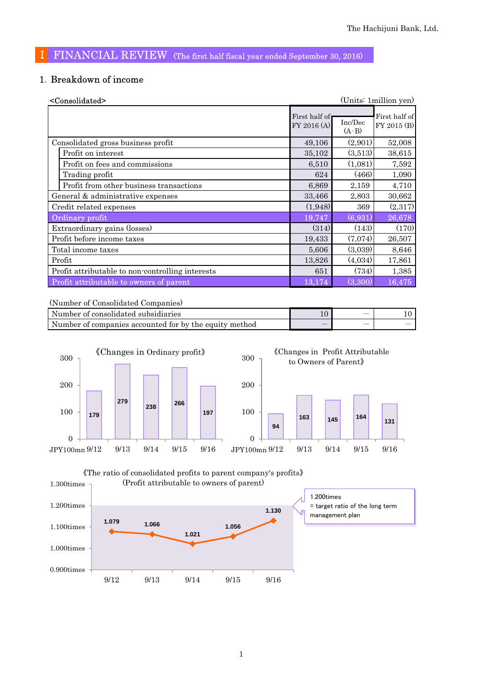## Ⅰ FINANCIAL REVIEW (The first half fiscal year ended September 30, 2016)

### 1.Breakdown of income

| <consolidated></consolidated>                    |                              |                    | (Units: 1 million yen)       |
|--------------------------------------------------|------------------------------|--------------------|------------------------------|
|                                                  | First half of<br>FY 2016 (A) | Inc/Dec<br>$(A-B)$ | First half of<br>FY 2015 (B) |
| Consolidated gross business profit               | 49,106                       | (2,901)            | 52,008                       |
| Profit on interest                               | 35,102                       | (3,513)            | 38,615                       |
| Profit on fees and commissions                   | 6,510                        | (1,081)            | 7,592                        |
| Trading profit                                   | 624                          | (466)              | 1,090                        |
| Profit from other business transactions          | 6,869                        | 2,159              | 4,710                        |
| General & administrative expenses                | 33,466                       | 2,803              | 30,662                       |
| Credit related expenses                          | (1,948)                      | 369                | (2,317)                      |
| Ordinary profit                                  | 19,747                       | (6,931)            | 26,678                       |
| Extraordinary gains (losses)                     | (314)                        | (143)              | (170)                        |
| Profit before income taxes                       | 19,433                       | (7,074)            | 26,507                       |
| Total income taxes                               | 5,606                        | (3,039)            | 8,646                        |
| Profit                                           | 13,826                       | (4,034)            | 17,861                       |
| Profit attributable to non-controlling interests | 651                          | (734)              | 1,385                        |
| Profit attributable to owners of parent          | 13,174                       | (3,300)            | 16,475                       |

(Number of Consolidated Companies)

| Number of consolidated subsidiaries                    | $\overline{\phantom{a}}$ |  |
|--------------------------------------------------------|--------------------------|--|
| Number of companies accounted for by the equity method | _                        |  |



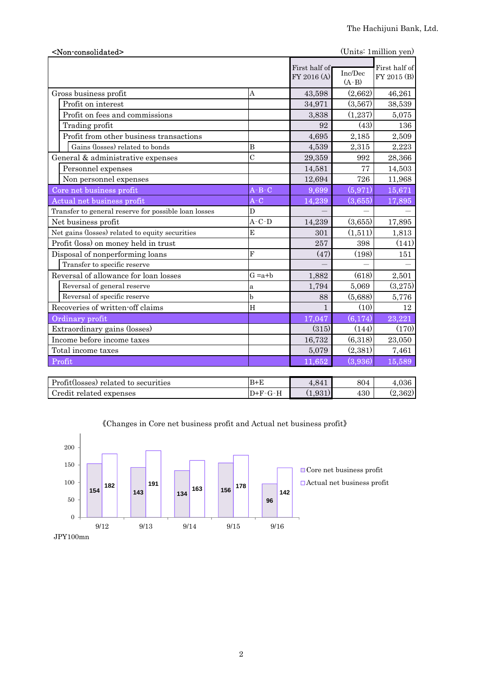| <non-consolidated></non-consolidated>                |                |                              |                    | (Units: 1 million yen)       |
|------------------------------------------------------|----------------|------------------------------|--------------------|------------------------------|
|                                                      |                | First half of<br>FY 2016 (A) | Inc/Dec<br>$(A-B)$ | First half of<br>FY 2015 (B) |
| Gross business profit                                | A              | 43,598                       | (2,662)            | 46,261                       |
| Profit on interest                                   |                | 34,971                       | (3,567)            | 38,539                       |
| Profit on fees and commissions                       |                | 3,838                        | (1,237)            | 5,075                        |
| Trading profit                                       |                | 92                           | (43)               | 136                          |
| Profit from other business transactions              |                | 4,695                        | 2,185              | 2,509                        |
| Gains (losses) related to bonds                      | B              | 4,539                        | 2,315              | 2,223                        |
| General & administrative expenses                    | $\overline{C}$ | 29,359                       | 992                | 28,366                       |
| Personnel expenses                                   |                | 14,581                       | 77                 | 14,503                       |
| Non personnel expenses                               |                | 12,694                       | 726                | 11,968                       |
| Core net business profit                             | $A - B - C$    | 9,699                        | (5, 971)           | 15,671                       |
| Actual net business profit                           | $A-C$          | 14,239                       | (3,655)            | 17,895                       |
| Transfer to general reserve for possible loan losses | D              |                              |                    |                              |
| Net business profit                                  | $A-C-D$        | 14,239                       | (3,655)            | 17,895                       |
| Net gains (losses) related to equity securities      | E              | 301                          | (1,511)            | 1,813                        |
| Profit (loss) on money held in trust                 |                | 257                          | 398                | (141)                        |
| Disposal of nonperforming loans                      | $\mathbf{F}$   | (47)                         | (198)              | 151                          |
| Transfer to specific reserve                         |                |                              |                    |                              |
| Reversal of allowance for loan losses                | $G = a + b$    | 1,882                        | (618)              | 2,501                        |
| Reversal of general reserve                          | a              | 1,794                        | 5,069              | (3,275)                      |
| Reversal of specific reserve                         | b              | 88                           | (5,688)            | 5,776                        |
| Recoveries of written-off claims                     | H              | $\mathbf{1}$                 | (10)               | 12                           |
| Ordinary profit                                      |                | 17,047                       | (6,174)            | 23,221                       |
| Extraordinary gains (losses)                         |                | (315)                        | (144)              | (170)                        |
| Income before income taxes                           |                | 16,732                       | (6,318)            | 23,050                       |
| Total income taxes                                   |                | 5,079                        | (2,381)            | 7,461                        |
| Profit                                               |                | 11,652                       | (3,936)            | 15,589                       |
|                                                      |                |                              |                    |                              |
|                                                      |                |                              |                    |                              |

| Profit(losses) related to securities | $B+E$             | 0.11          | 804 | 4.U30   |
|--------------------------------------|-------------------|---------------|-----|---------|
| Credit related<br>expenses           | $D+F$<br>$-1$ $-$ | 031<br>1.0011 | 430 | (2.362) |



《Changes in Core net business profit and Actual net business profit》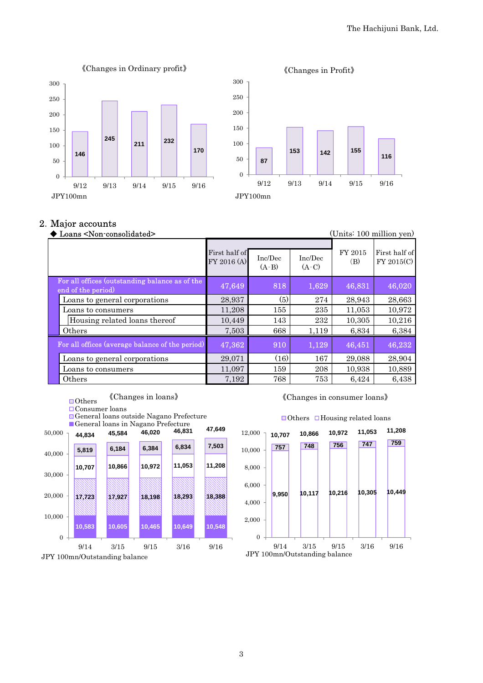



#### 2.Major accounts

| Loans <non-consolidated></non-consolidated>                          |                              |                    |                    |                | (Units: 100 million yen)    |
|----------------------------------------------------------------------|------------------------------|--------------------|--------------------|----------------|-----------------------------|
|                                                                      | First half of<br>FY 2016 (A) | Inc/Dec<br>$(A-B)$ | Inc/Dec<br>$(A-C)$ | FY 2015<br>(B) | First half of<br>FY 2015(C) |
| For all offices (outstanding balance as of the<br>end of the period) | 47,649                       | 818                | 1,629              | 46,831         | 46,020                      |
| Loans to general corporations                                        | 28,937                       | (5)                | 274                | 28,943         | 28,663                      |
| Loans to consumers                                                   | 11,208                       | 155                | 235                | 11.053         | 10,972                      |
| Housing related loans thereof                                        | 10,449                       | 143                | 232                | 10,305         | 10,216                      |
| Others                                                               | 7,503                        | 668                | 1,119              | 6,834          | 6,384                       |
| For all offices (average balance of the period)                      | 47,362                       | 910                | 1,129              | 46,451         | 46,232                      |
| Loans to general corporations                                        | 29,071                       | (16)               | 167                | 29,088         | 28,904                      |
| Loans to consumers                                                   | 11,097                       | 159                | 208                | 10,938         | 10,889                      |
| Others                                                               | 7,192                        | 768                | 753                | 6,424          | 6,438                       |

#### ■Others 《Changes in loans》

Consumer loans

General loans outside Nagano Prefecture





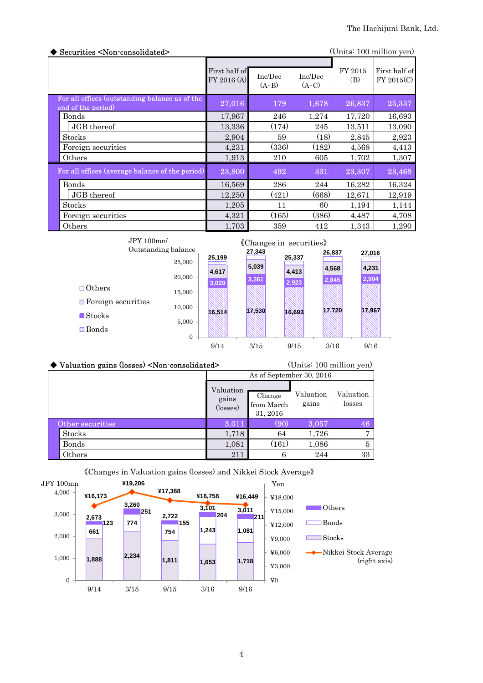| Securities <non-consolidated><br/>(Units: 100 million yen)</non-consolidated> |                              |                    |                    |                |                             |
|-------------------------------------------------------------------------------|------------------------------|--------------------|--------------------|----------------|-----------------------------|
|                                                                               | First half of<br>FY 2016 (A) | Inc/Dec<br>$(A-B)$ | Inc/Dec<br>$(A-C)$ | FY 2015<br>(B) | First half of<br>FY 2015(C) |
| For all offices (outstanding balance as of the<br>end of the period)          | 27,016                       | 179                | 1,678              | 26,837         | 25,337                      |
| Bonds                                                                         | 17,967                       | 246                | 1,274              | 17,720         | 16,693                      |
| JGB thereof                                                                   | 13,336                       | (174)              | 245                | 13,511         | 13,090                      |
| <b>Stocks</b>                                                                 | 2,904                        | 59                 | (18)               | 2,845          | 2,923                       |
| Foreign securities                                                            | 4,231                        | (336)              | (182)              | 4,568          | 4,413                       |
| Others                                                                        | 1,913                        | 210                | 605                | 1,702          | 1,307                       |
| For all offices (average balance of the period)                               | 23,800                       | 492                | 331                | 23,307         | 23,468                      |
| <b>Bonds</b>                                                                  | 16,569                       | 286                | 244                | 16,282         | 16,324                      |
| JGB thereof                                                                   | 12,250                       | (421)              | (668)              | 12,671         | 12,919                      |
| <b>Stocks</b>                                                                 | 1,205                        | 11                 | 60                 | 1,194          | 1,144                       |
| Foreign securities                                                            | 4,321                        | (165)              | (386)              | 4,487          | 4,708                       |
| Others                                                                        | 1,703                        | 359                | 412                | 1,343          | 1,290                       |

| JPY100mn/                         | Outstanding balance |        | 27,343 | «Changes in securities» | 26,837 | 27,016 |
|-----------------------------------|---------------------|--------|--------|-------------------------|--------|--------|
|                                   | 25,000              | 25,199 |        | 25,337                  |        |        |
|                                   |                     | 4,617  | 5,039  | 4,413                   | 4,568  | 4,231  |
|                                   | 20,000              | 3,029  | 3,361  | 2,923                   | 2,845  | 2,904  |
| $\Box$ Others                     | 15,000              |        |        |                         |        |        |
| $\blacksquare$ Foreign securities | 10.000              |        |        |                         |        |        |
| $\blacksquare$ Stocks             |                     | 16,514 | 17,530 | 16.693                  | 17,720 | 17,967 |
| $\blacksquare$ Bonds              | 5,000               |        |        |                         |        |        |
|                                   | $\mathbf{0}$        |        |        |                         |        |        |
|                                   |                     | 9/14   | 3/15   | 9/15                    | 3/16   | 9/16   |

| $\blacklozenge$ Valuation gains (losses) <non-consolidated></non-consolidated> | (Units: 100 million yen)       |                                  |                    |                     |  |  |
|--------------------------------------------------------------------------------|--------------------------------|----------------------------------|--------------------|---------------------|--|--|
|                                                                                | As of September 30, 2016       |                                  |                    |                     |  |  |
|                                                                                | Valuation<br>gains<br>(losses) | Change<br>from March<br>31, 2016 | Valuation<br>gains | Valuation<br>losses |  |  |
| Other securities                                                               | 3.011                          | (90                              | 3,057              | 46                  |  |  |
| <b>Stocks</b>                                                                  | 1,718                          | 64                               | 1,726              | $\overline{7}$      |  |  |
| Bonds                                                                          | 1,081                          | $\left(161\right)$               | 1,086              | 5                   |  |  |
| Others                                                                         | 211                            | 6                                | 244                | 33                  |  |  |



《Changes in Valuation gains (losses) and Nikkei Stock Average》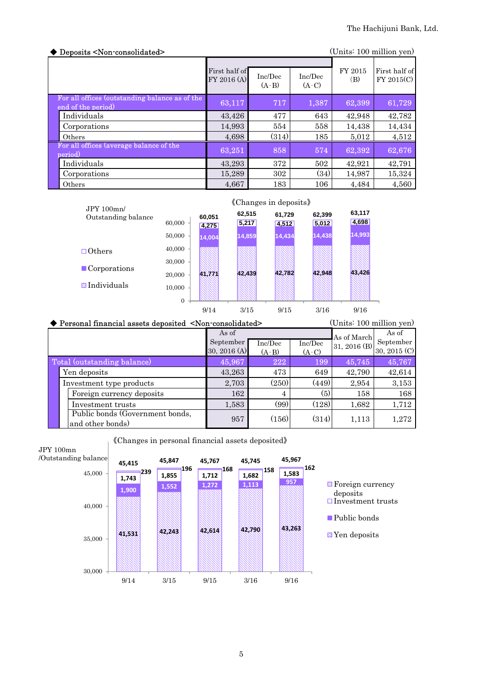| Deposits <non-consolidated></non-consolidated>                       |                              |                    |                    |                | (Units: 100 million yen)    |  |
|----------------------------------------------------------------------|------------------------------|--------------------|--------------------|----------------|-----------------------------|--|
|                                                                      | First half of<br>FY 2016 (A) | Inc/Dec<br>$(A-B)$ | Inc/Dec<br>$(A-C)$ | FY 2015<br>(B) | First half of<br>FY 2015(C) |  |
| For all offices (outstanding balance as of the<br>end of the period) | 63,117                       | 717                | 1,387              | 62,399         | 61,729                      |  |
| Individuals                                                          | 43.426                       | 477                | 643                | 42,948         | 42,782                      |  |
| Corporations                                                         | 14,993                       | 554                | 558                | 14,438         | 14,434                      |  |
| Others                                                               | 4,698                        | (314)              | 185                | 5,012          | 4,512                       |  |
| For all offices (average balance of the<br>period)                   | 63,251                       | 858                | 574                | 62,392         | 62,676                      |  |
| Individuals                                                          | 43,293                       | 372                | 502                | 42.921         | 42,791                      |  |
| Corporations                                                         | 15,289                       | 302                | (34)               | 14,987         | 15,324                      |  |
| Others                                                               | 4,667                        | 183                | 106                | 4.484          | 4,560                       |  |



| ◆ Personal financial assets deposited <non-consolidated></non-consolidated> | (Units: 100 million yen) |         |         |              |              |
|-----------------------------------------------------------------------------|--------------------------|---------|---------|--------------|--------------|
|                                                                             | As of                    |         |         | As of March  | As of        |
|                                                                             | September                | Inc/Dec | Inc/Dec | 31, 2016 (B) | September    |
|                                                                             | 30, 2016 (A)             | $(A-B)$ | $(A-C)$ |              | 30, 2015 (C) |
| Total (outstanding balance)                                                 | 45,967                   | 222     | 199     | 45,745       | 45,767       |
| Yen deposits                                                                | 43,263                   | 473     | 649     | 42,790       | 42,614       |
| Investment type products                                                    | 2,703                    | (250)   | (449)   | 2,954        | 3,153        |
| Foreign currency deposits                                                   | 162                      | 4       | (5)     | 158          | 168          |
| Investment trusts                                                           | 1,583                    | (99)    | (128)   | 1,682        | 1,712        |
| Public bonds (Government bonds,<br>and other bonds)                         | 957                      | (156)   | (314)   | 1,113        | 1,272        |

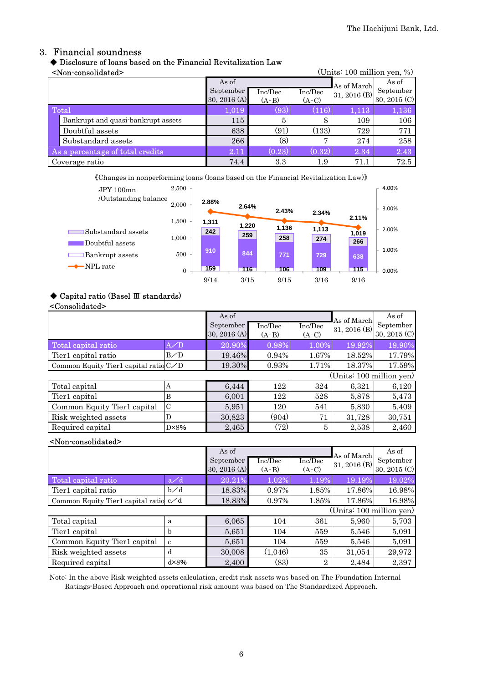## 3. Financial soundness

### ◆ Disclosure of loans based on the Financial Revitalization Law

#### <Non-consolidated> (Units: 100 million yen, %)

| -TTOIT COTTOOTTAGECA-<br>$\overline{O}$ and $\overline{O}$ and $\overline{O}$ and $\overline{O}$ and $\overline{O}$ |                                    |                |         |                |              |              |
|---------------------------------------------------------------------------------------------------------------------|------------------------------------|----------------|---------|----------------|--------------|--------------|
|                                                                                                                     |                                    | As of          |         |                | As of March  | As of        |
|                                                                                                                     |                                    | September      | Inc/Dec | Inc/Dec        | 31, 2016 (B) | September    |
|                                                                                                                     |                                    | 30, 2016 $(A)$ | $(A-B)$ | $(A-C)$        |              | 30, 2015 (C) |
| <b>Total</b>                                                                                                        |                                    | 1,019          | (93).   | (116)          | 1,113        | 1,136        |
|                                                                                                                     | Bankrupt and quasi-bankrupt assets | 115            | 5       | 8              | 109          | 106          |
|                                                                                                                     | Doubtful assets                    | 638            | (91)    | (133)          | 729          | 771          |
|                                                                                                                     | Substandard assets                 | 266            | (8)     | $\overline{ }$ | 274          | 258          |
|                                                                                                                     | As a percentage of total credits   | 2.11           | (0.23)  | (0.32)         | 2.34         | 2.43         |
|                                                                                                                     | Coverage ratio                     | 74.4           | 3.3     | $1.9\,$        | 71.1         | 72.5         |

《Changes in nonperforming loans (loans based on the Financial Revitalization Law)》



#### ◆ Capital ratio (Basel Ⅲ standards)

#### <Consolidated>

|                                         |                | As of<br>September<br>30, 2016 (A) | Inc/Dec<br>$(A-B)$ | Inc/Dec<br>$(A-C)$ | As of March<br>31, 2016 (B) | As of<br>September<br>30, 2015 (C) |
|-----------------------------------------|----------------|------------------------------------|--------------------|--------------------|-----------------------------|------------------------------------|
| Total capital ratio                     | A/D            | 20.90%                             | 0.98%              | $1.00\%$           | 19.92%                      | 19.90%                             |
| Tier1 capital ratio                     | B/D            | 19.46%                             | 0.94%              | 1.67%              | 18.52%                      | 17.79%                             |
| Common Equity Tier1 capital ratio $C/D$ |                | 19.30%                             | 0.93%              | 1.71%              | 18.37%                      | 17.59%                             |
|                                         |                |                                    |                    |                    | (Units: 100 million yen)    |                                    |
| Total capital                           | А              | 6,444                              | 122                | 324                | 6,321                       | 6,120                              |
| Tier1 capital                           | B              | 6,001                              | 122                | 528                | 5,878                       | 5,473                              |
| Common Equity Tier1 capital             | $\mathcal{C}$  | 5,951                              | 120                | 541                | 5,830                       | 5,409                              |
| Risk weighted assets                    | D              | 30,823                             | (904)              | 71                 | 31,728                      | 30,751                             |
| Required capital                        | $D \times 8\%$ | 2,465                              | (72)               | 5                  | 2,538                       | 2,460                              |

#### <Non-consolidated>

|                                         |                | As of<br>September<br>30, 2016 (A) | Inc/Dec<br>$(A-B)$ | Inc/Dec<br>$(A-C)$ | As of March<br>31, 2016 (B) | As of<br>September<br>30, 2015 (C) |  |  |
|-----------------------------------------|----------------|------------------------------------|--------------------|--------------------|-----------------------------|------------------------------------|--|--|
| Total capital ratio                     | a/d            | 20.21%                             | 1.02%              | 1.19%              | 19.19%                      | 19.02%                             |  |  |
| Tier1 capital ratio                     | $b\angle d$    | 18.83%                             | 0.97%              | 1.85%              | 17.86%                      | 16.98%                             |  |  |
| Common Equity Tier1 capital ratio $c/d$ |                | 18.83%                             | 0.97%              | 1.85%              | 17.86%                      | 16.98%                             |  |  |
| (Units: 100 million yen)                |                |                                    |                    |                    |                             |                                    |  |  |
| Total capital                           | a              | 6,065                              | 104                | 361                | 5,960                       | 5,703                              |  |  |
| Tier1 capital                           | h              | 5,651                              | 104                | 559                | 5,546                       | 5,091                              |  |  |
| Common Equity Tier1 capital             | c              | 5,651                              | 104                | 559                | 5,546                       | 5,091                              |  |  |
| Risk weighted assets                    | d              | 30,008                             | (1,046)            | 35                 | 31,054                      | 29,972                             |  |  |
| Required capital                        | $d \times 8\%$ | 2,400                              | (83)               | $\overline{2}$     | 2,484                       | 2,397                              |  |  |

Note: In the above Risk weighted assets calculation, credit risk assets was based on The Foundation Internal Ratings-Based Approach and operational risk amount was based on The Standardized Approach.